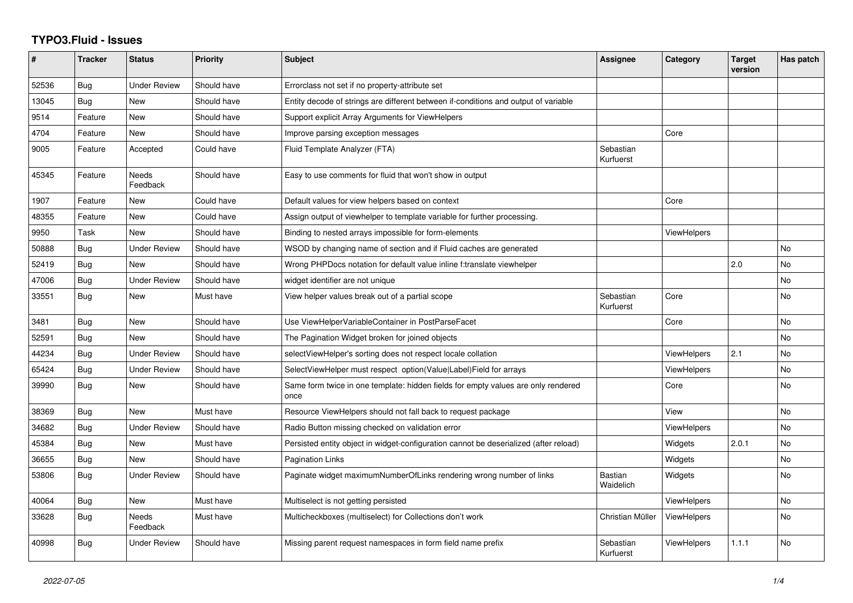## **TYPO3.Fluid - Issues**

| #     | <b>Tracker</b> | <b>Status</b>       | <b>Priority</b> | <b>Subject</b>                                                                            | Assignee               | Category           | <b>Target</b><br>version | Has patch      |
|-------|----------------|---------------------|-----------------|-------------------------------------------------------------------------------------------|------------------------|--------------------|--------------------------|----------------|
| 52536 | Bug            | <b>Under Review</b> | Should have     | Errorclass not set if no property-attribute set                                           |                        |                    |                          |                |
| 13045 | Bug            | New                 | Should have     | Entity decode of strings are different between if-conditions and output of variable       |                        |                    |                          |                |
| 9514  | Feature        | New                 | Should have     | Support explicit Array Arguments for ViewHelpers                                          |                        |                    |                          |                |
| 4704  | Feature        | New                 | Should have     | Improve parsing exception messages                                                        |                        | Core               |                          |                |
| 9005  | Feature        | Accepted            | Could have      | Fluid Template Analyzer (FTA)                                                             | Sebastian<br>Kurfuerst |                    |                          |                |
| 45345 | Feature        | Needs<br>Feedback   | Should have     | Easy to use comments for fluid that won't show in output                                  |                        |                    |                          |                |
| 1907  | Feature        | New                 | Could have      | Default values for view helpers based on context                                          |                        | Core               |                          |                |
| 48355 | Feature        | New                 | Could have      | Assign output of viewhelper to template variable for further processing.                  |                        |                    |                          |                |
| 9950  | Task           | <b>New</b>          | Should have     | Binding to nested arrays impossible for form-elements                                     |                        | <b>ViewHelpers</b> |                          |                |
| 50888 | Bug            | <b>Under Review</b> | Should have     | WSOD by changing name of section and if Fluid caches are generated                        |                        |                    |                          | <b>No</b>      |
| 52419 | Bug            | New                 | Should have     | Wrong PHPDocs notation for default value inline f:translate viewhelper                    |                        |                    | 2.0                      | No             |
| 47006 | <b>Bug</b>     | <b>Under Review</b> | Should have     | widget identifier are not unique                                                          |                        |                    |                          | <b>No</b>      |
| 33551 | <b>Bug</b>     | New                 | Must have       | View helper values break out of a partial scope                                           | Sebastian<br>Kurfuerst | Core               |                          | <b>No</b>      |
| 3481  | Bug            | New                 | Should have     | Use ViewHelperVariableContainer in PostParseFacet                                         |                        | Core               |                          | No             |
| 52591 | Bug            | New                 | Should have     | The Pagination Widget broken for joined objects                                           |                        |                    |                          | N <sub>o</sub> |
| 44234 | Bug            | <b>Under Review</b> | Should have     | selectViewHelper's sorting does not respect locale collation                              |                        | <b>ViewHelpers</b> | 2.1                      | No             |
| 65424 | Bug            | <b>Under Review</b> | Should have     | SelectViewHelper must respect option(Value Label)Field for arrays                         |                        | <b>ViewHelpers</b> |                          | No             |
| 39990 | <b>Bug</b>     | New                 | Should have     | Same form twice in one template: hidden fields for empty values are only rendered<br>once |                        | Core               |                          | <b>No</b>      |
| 38369 | <b>Bug</b>     | <b>New</b>          | Must have       | Resource ViewHelpers should not fall back to request package                              |                        | View               |                          | <b>No</b>      |
| 34682 | Bug            | <b>Under Review</b> | Should have     | Radio Button missing checked on validation error                                          |                        | ViewHelpers        |                          | <b>No</b>      |
| 45384 | Bug            | New                 | Must have       | Persisted entity object in widget-configuration cannot be deserialized (after reload)     |                        | Widgets            | 2.0.1                    | <b>No</b>      |
| 36655 | Bug            | New                 | Should have     | Pagination Links                                                                          |                        | Widgets            |                          | No             |
| 53806 | Bug            | Under Review        | Should have     | Paginate widget maximumNumberOfLinks rendering wrong number of links                      | Bastian<br>Waidelich   | Widgets            |                          | <b>No</b>      |
| 40064 | Bug            | New                 | Must have       | Multiselect is not getting persisted                                                      |                        | <b>ViewHelpers</b> |                          | No             |
| 33628 | <b>Bug</b>     | Needs<br>Feedback   | Must have       | Multicheckboxes (multiselect) for Collections don't work                                  | Christian Müller       | <b>ViewHelpers</b> |                          | <b>No</b>      |
| 40998 | Bug            | Under Review        | Should have     | Missing parent request namespaces in form field name prefix                               | Sebastian<br>Kurfuerst | <b>ViewHelpers</b> | 1.1.1                    | <b>No</b>      |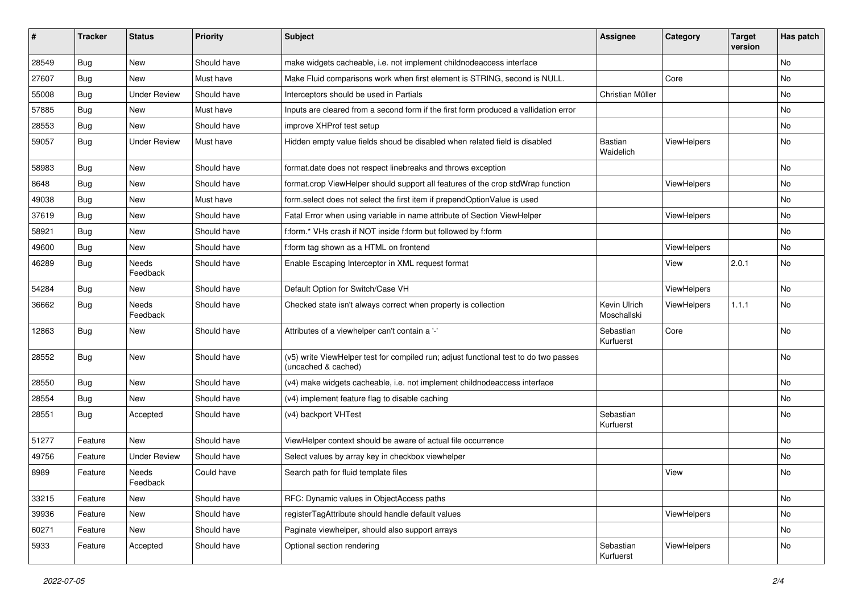| #     | <b>Tracker</b> | <b>Status</b>            | <b>Priority</b> | <b>Subject</b>                                                                                              | <b>Assignee</b>             | Category    | <b>Target</b><br>version | Has patch |
|-------|----------------|--------------------------|-----------------|-------------------------------------------------------------------------------------------------------------|-----------------------------|-------------|--------------------------|-----------|
| 28549 | Bug            | New                      | Should have     | make widgets cacheable, i.e. not implement childnodeaccess interface                                        |                             |             |                          | <b>No</b> |
| 27607 | Bug            | New                      | Must have       | Make Fluid comparisons work when first element is STRING, second is NULL.                                   |                             | Core        |                          | No        |
| 55008 | Bug            | <b>Under Review</b>      | Should have     | Interceptors should be used in Partials                                                                     | Christian Müller            |             |                          | No        |
| 57885 | Bug            | New                      | Must have       | Inputs are cleared from a second form if the first form produced a vallidation error                        |                             |             |                          | <b>No</b> |
| 28553 | Bug            | New                      | Should have     | improve XHProf test setup                                                                                   |                             |             |                          | No        |
| 59057 | Bug            | <b>Under Review</b>      | Must have       | Hidden empty value fields shoud be disabled when related field is disabled                                  | <b>Bastian</b><br>Waidelich | ViewHelpers |                          | No        |
| 58983 | Bug            | New                      | Should have     | format.date does not respect linebreaks and throws exception                                                |                             |             |                          | <b>No</b> |
| 8648  | Bug            | New                      | Should have     | format.crop ViewHelper should support all features of the crop stdWrap function                             |                             | ViewHelpers |                          | No        |
| 49038 | Bug            | New                      | Must have       | form.select does not select the first item if prependOptionValue is used                                    |                             |             |                          | No        |
| 37619 | Bug            | New                      | Should have     | Fatal Error when using variable in name attribute of Section ViewHelper                                     |                             | ViewHelpers |                          | No        |
| 58921 | Bug            | New                      | Should have     | f:form.* VHs crash if NOT inside f:form but followed by f:form                                              |                             |             |                          | No        |
| 49600 | Bug            | New                      | Should have     | f:form tag shown as a HTML on frontend                                                                      |                             | ViewHelpers |                          | No        |
| 46289 | Bug            | <b>Needs</b><br>Feedback | Should have     | Enable Escaping Interceptor in XML request format                                                           |                             | View        | 2.0.1                    | No        |
| 54284 | Bug            | New                      | Should have     | Default Option for Switch/Case VH                                                                           |                             | ViewHelpers |                          | <b>No</b> |
| 36662 | Bug            | Needs<br>Feedback        | Should have     | Checked state isn't always correct when property is collection                                              | Kevin Ulrich<br>Moschallski | ViewHelpers | 1.1.1                    | No        |
| 12863 | Bug            | New                      | Should have     | Attributes of a viewhelper can't contain a '-'                                                              | Sebastian<br>Kurfuerst      | Core        |                          | <b>No</b> |
| 28552 | Bug            | New                      | Should have     | (v5) write ViewHelper test for compiled run; adjust functional test to do two passes<br>(uncached & cached) |                             |             |                          | <b>No</b> |
| 28550 | Bug            | New                      | Should have     | (v4) make widgets cacheable, i.e. not implement childnodeaccess interface                                   |                             |             |                          | No        |
| 28554 | Bug            | New                      | Should have     | (v4) implement feature flag to disable caching                                                              |                             |             |                          | No        |
| 28551 | Bug            | Accepted                 | Should have     | (v4) backport VHTest                                                                                        | Sebastian<br>Kurfuerst      |             |                          | No        |
| 51277 | Feature        | <b>New</b>               | Should have     | ViewHelper context should be aware of actual file occurrence                                                |                             |             |                          | No        |
| 49756 | Feature        | <b>Under Review</b>      | Should have     | Select values by array key in checkbox viewhelper                                                           |                             |             |                          | No        |
| 8989  | Feature        | Needs<br>Feedback        | Could have      | Search path for fluid template files                                                                        |                             | View        |                          | No        |
| 33215 | Feature        | New                      | Should have     | RFC: Dynamic values in ObjectAccess paths                                                                   |                             |             |                          | No        |
| 39936 | Feature        | New                      | Should have     | registerTagAttribute should handle default values                                                           |                             | ViewHelpers |                          | No        |
| 60271 | Feature        | New                      | Should have     | Paginate viewhelper, should also support arrays                                                             |                             |             |                          | No        |
| 5933  | Feature        | Accepted                 | Should have     | Optional section rendering                                                                                  | Sebastian<br>Kurfuerst      | ViewHelpers |                          | No        |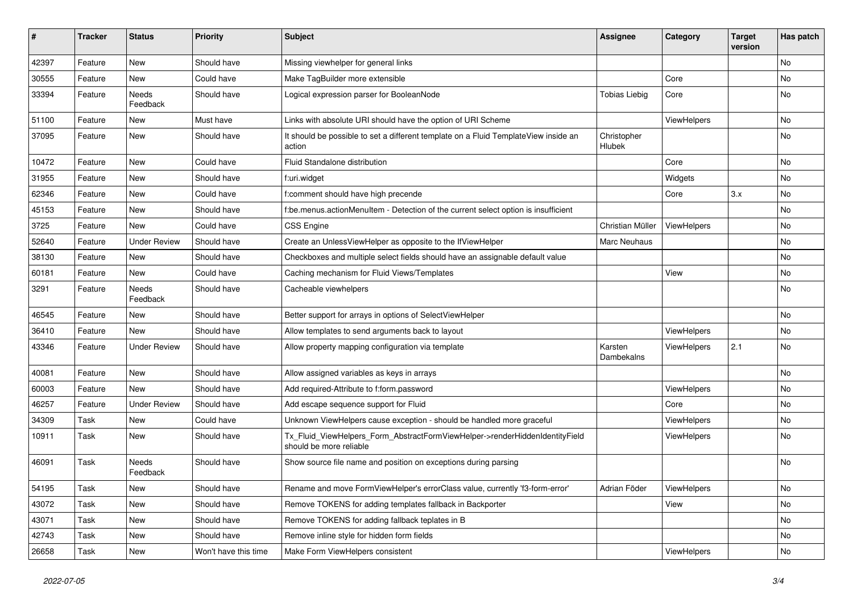| #     | <b>Tracker</b> | <b>Status</b>       | <b>Priority</b>      | <b>Subject</b>                                                                                         | <b>Assignee</b>       | Category    | <b>Target</b><br>version | Has patch |
|-------|----------------|---------------------|----------------------|--------------------------------------------------------------------------------------------------------|-----------------------|-------------|--------------------------|-----------|
| 42397 | Feature        | New                 | Should have          | Missing viewhelper for general links                                                                   |                       |             |                          | <b>No</b> |
| 30555 | Feature        | New                 | Could have           | Make TagBuilder more extensible                                                                        |                       | Core        |                          | No        |
| 33394 | Feature        | Needs<br>Feedback   | Should have          | Logical expression parser for BooleanNode                                                              | <b>Tobias Liebig</b>  | Core        |                          | No        |
| 51100 | Feature        | New                 | Must have            | Links with absolute URI should have the option of URI Scheme                                           |                       | ViewHelpers |                          | <b>No</b> |
| 37095 | Feature        | New                 | Should have          | It should be possible to set a different template on a Fluid TemplateView inside an<br>action          | Christopher<br>Hlubek |             |                          | No        |
| 10472 | Feature        | <b>New</b>          | Could have           | Fluid Standalone distribution                                                                          |                       | Core        |                          | No        |
| 31955 | Feature        | New                 | Should have          | f:uri.widget                                                                                           |                       | Widgets     |                          | No        |
| 62346 | Feature        | New                 | Could have           | f:comment should have high precende                                                                    |                       | Core        | 3.x                      | No        |
| 45153 | Feature        | New                 | Should have          | f:be.menus.actionMenuItem - Detection of the current select option is insufficient                     |                       |             |                          | No        |
| 3725  | Feature        | <b>New</b>          | Could have           | <b>CSS Engine</b>                                                                                      | Christian Müller      | ViewHelpers |                          | No        |
| 52640 | Feature        | <b>Under Review</b> | Should have          | Create an UnlessViewHelper as opposite to the IfViewHelper                                             | Marc Neuhaus          |             |                          | No        |
| 38130 | Feature        | New                 | Should have          | Checkboxes and multiple select fields should have an assignable default value                          |                       |             |                          | No        |
| 60181 | Feature        | New                 | Could have           | Caching mechanism for Fluid Views/Templates                                                            |                       | View        |                          | No        |
| 3291  | Feature        | Needs<br>Feedback   | Should have          | Cacheable viewhelpers                                                                                  |                       |             |                          | No        |
| 46545 | Feature        | New                 | Should have          | Better support for arrays in options of SelectViewHelper                                               |                       |             |                          | No        |
| 36410 | Feature        | <b>New</b>          | Should have          | Allow templates to send arguments back to layout                                                       |                       | ViewHelpers |                          | No        |
| 43346 | Feature        | <b>Under Review</b> | Should have          | Allow property mapping configuration via template                                                      | Karsten<br>Dambekalns | ViewHelpers | 2.1                      | No        |
| 40081 | Feature        | New                 | Should have          | Allow assigned variables as keys in arrays                                                             |                       |             |                          | No        |
| 60003 | Feature        | New                 | Should have          | Add required-Attribute to f:form.password                                                              |                       | ViewHelpers |                          | No        |
| 46257 | Feature        | <b>Under Review</b> | Should have          | Add escape sequence support for Fluid                                                                  |                       | Core        |                          | No        |
| 34309 | Task           | New                 | Could have           | Unknown ViewHelpers cause exception - should be handled more graceful                                  |                       | ViewHelpers |                          | No        |
| 10911 | Task           | New                 | Should have          | Tx Fluid ViewHelpers Form AbstractFormViewHelper->renderHiddenIdentityField<br>should be more reliable |                       | ViewHelpers |                          | <b>No</b> |
| 46091 | Task           | Needs<br>Feedback   | Should have          | Show source file name and position on exceptions during parsing                                        |                       |             |                          | No        |
| 54195 | Task           | New                 | Should have          | Rename and move FormViewHelper's errorClass value, currently 'f3-form-error'                           | Adrian Föder          | ViewHelpers |                          | No        |
| 43072 | Task           | New                 | Should have          | Remove TOKENS for adding templates fallback in Backporter                                              |                       | View        |                          | No        |
| 43071 | Task           | New                 | Should have          | Remove TOKENS for adding fallback teplates in B                                                        |                       |             |                          | No        |
| 42743 | Task           | New                 | Should have          | Remove inline style for hidden form fields                                                             |                       |             |                          | No        |
| 26658 | Task           | New                 | Won't have this time | Make Form ViewHelpers consistent                                                                       |                       | ViewHelpers |                          | No        |